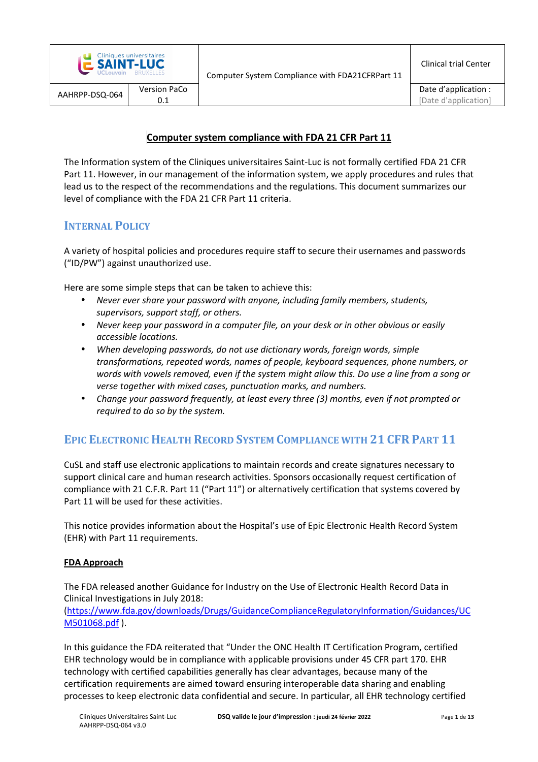|                | <b>E SAINT-LUC</b> | <b>Cliniques universitaires</b> |
|----------------|--------------------|---------------------------------|
| AAHRPP-DSQ-064 |                    | <b>Version PaCo</b>             |
|                |                    |                                 |

### **Computer system compliance with FDA 21 CFR Part 11**

The Information system of the Cliniques universitaires Saint-Luc is not formally certified FDA 21 CFR Part 11. However, in our management of the information system, we apply procedures and rules that lead us to the respect of the recommendations and the regulations. This document summarizes our level of compliance with the FDA 21 CFR Part 11 criteria.

### **INTERNAL POLICY**

A variety of hospital policies and procedures require staff to secure their usernames and passwords ("ID/PW") against unauthorized use.

Here are some simple steps that can be taken to achieve this:

- *Never ever share your password with anyone, including family members, students, supervisors, support staff, or others.*
- *Never keep your password in a computer file, on your desk or in other obvious or easily accessible locations.*
- *When developing passwords, do not use dictionary words, foreign words, simple transformations, repeated words, names of people, keyboard sequences, phone numbers, or words with vowels removed, even if the system might allow this. Do use a line from a song or verse together with mixed cases, punctuation marks, and numbers.*
- *Change your password frequently, at least every three (3) months, even if not prompted or required to do so by the system.*

### **EPIC ELECTRONIC HEALTH RECORD SYSTEM COMPLIANCE WITH 21 CFR PART 11**

CuSL and staff use electronic applications to maintain records and create signatures necessary to support clinical care and human research activities. Sponsors occasionally request certification of compliance with 21 C.F.R. Part 11 ("Part 11") or alternatively certification that systems covered by Part 11 will be used for these activities.

This notice provides information about the Hospital's use of Epic Electronic Health Record System (EHR) with Part 11 requirements.

### **FDA Approach**

The FDA released another Guidance for Industry on the Use of Electronic Health Record Data in Clinical Investigations in July 2018:

(https://www.fda.gov/downloads/Drugs/GuidanceComplianceRegulatoryInformation/Guidances/UC M501068.pdf ).

In this guidance the FDA reiterated that "Under the ONC Health IT Certification Program, certified EHR technology would be in compliance with applicable provisions under 45 CFR part 170. EHR technology with certified capabilities generally has clear advantages, because many of the certification requirements are aimed toward ensuring interoperable data sharing and enabling processes to keep electronic data confidential and secure. In particular, all EHR technology certified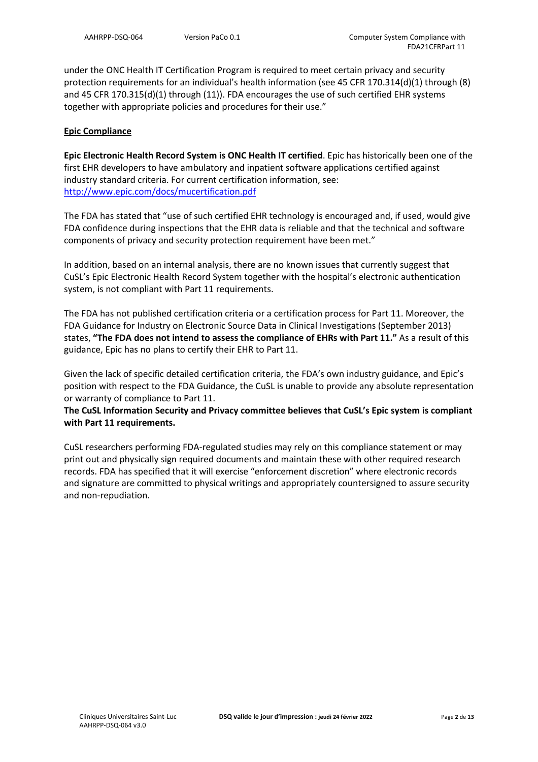under the ONC Health IT Certification Program is required to meet certain privacy and security protection requirements for an individual's health information (see 45 CFR 170.314(d)(1) through (8) and 45 CFR 170.315(d)(1) through (11)). FDA encourages the use of such certified EHR systems together with appropriate policies and procedures for their use."

### **Epic Compliance**

**Epic Electronic Health Record System is ONC Health IT certified**. Epic has historically been one of the first EHR developers to have ambulatory and inpatient software applications certified against industry standard criteria. For current certification information, see: http://www.epic.com/docs/mucertification.pdf

The FDA has stated that "use of such certified EHR technology is encouraged and, if used, would give FDA confidence during inspections that the EHR data is reliable and that the technical and software components of privacy and security protection requirement have been met."

In addition, based on an internal analysis, there are no known issues that currently suggest that CuSL's Epic Electronic Health Record System together with the hospital's electronic authentication system, is not compliant with Part 11 requirements.

The FDA has not published certification criteria or a certification process for Part 11. Moreover, the FDA Guidance for Industry on Electronic Source Data in Clinical Investigations (September 2013) states, **"The FDA does not intend to assess the compliance of EHRs with Part 11."** As a result of this guidance, Epic has no plans to certify their EHR to Part 11.

Given the lack of specific detailed certification criteria, the FDA's own industry guidance, and Epic's position with respect to the FDA Guidance, the CuSL is unable to provide any absolute representation or warranty of compliance to Part 11.

### **The CuSL Information Security and Privacy committee believes that CuSL's Epic system is compliant with Part 11 requirements.**

CuSL researchers performing FDA-regulated studies may rely on this compliance statement or may print out and physically sign required documents and maintain these with other required research records. FDA has specified that it will exercise "enforcement discretion" where electronic records and signature are committed to physical writings and appropriately countersigned to assure security and non-repudiation.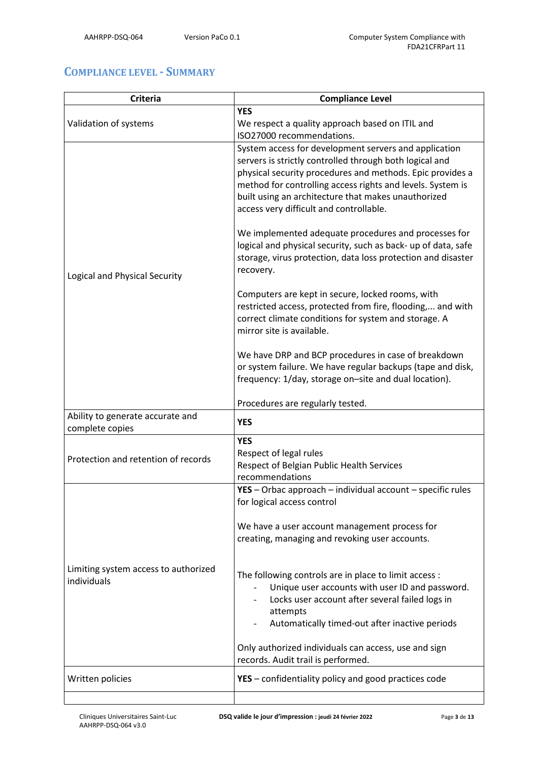# **COMPLIANCE LEVEL - SUMMARY**

| <b>Criteria</b>                                     | <b>Compliance Level</b>                                                                                                                                                                                                                                                                                                                       |
|-----------------------------------------------------|-----------------------------------------------------------------------------------------------------------------------------------------------------------------------------------------------------------------------------------------------------------------------------------------------------------------------------------------------|
|                                                     | <b>YES</b>                                                                                                                                                                                                                                                                                                                                    |
| Validation of systems                               | We respect a quality approach based on ITIL and                                                                                                                                                                                                                                                                                               |
|                                                     | ISO27000 recommendations.                                                                                                                                                                                                                                                                                                                     |
|                                                     | System access for development servers and application<br>servers is strictly controlled through both logical and<br>physical security procedures and methods. Epic provides a<br>method for controlling access rights and levels. System is<br>built using an architecture that makes unauthorized<br>access very difficult and controllable. |
| Logical and Physical Security                       | We implemented adequate procedures and processes for<br>logical and physical security, such as back- up of data, safe<br>storage, virus protection, data loss protection and disaster<br>recovery.                                                                                                                                            |
|                                                     | Computers are kept in secure, locked rooms, with<br>restricted access, protected from fire, flooding, and with<br>correct climate conditions for system and storage. A<br>mirror site is available.                                                                                                                                           |
|                                                     | We have DRP and BCP procedures in case of breakdown<br>or system failure. We have regular backups (tape and disk,<br>frequency: 1/day, storage on-site and dual location).                                                                                                                                                                    |
|                                                     | Procedures are regularly tested.                                                                                                                                                                                                                                                                                                              |
| Ability to generate accurate and<br>complete copies | <b>YES</b>                                                                                                                                                                                                                                                                                                                                    |
| Protection and retention of records                 | <b>YES</b><br>Respect of legal rules<br>Respect of Belgian Public Health Services<br>recommendations                                                                                                                                                                                                                                          |
|                                                     | $YES - Orbac$ approach - individual account - specific rules<br>for logical access control                                                                                                                                                                                                                                                    |
| Limiting system access to authorized<br>individuals | We have a user account management process for<br>creating, managing and revoking user accounts.                                                                                                                                                                                                                                               |
|                                                     | The following controls are in place to limit access :<br>Unique user accounts with user ID and password.<br>Locks user account after several failed logs in<br>attempts<br>Automatically timed-out after inactive periods                                                                                                                     |
|                                                     | Only authorized individuals can access, use and sign<br>records. Audit trail is performed.                                                                                                                                                                                                                                                    |
| Written policies                                    | YES - confidentiality policy and good practices code                                                                                                                                                                                                                                                                                          |
|                                                     |                                                                                                                                                                                                                                                                                                                                               |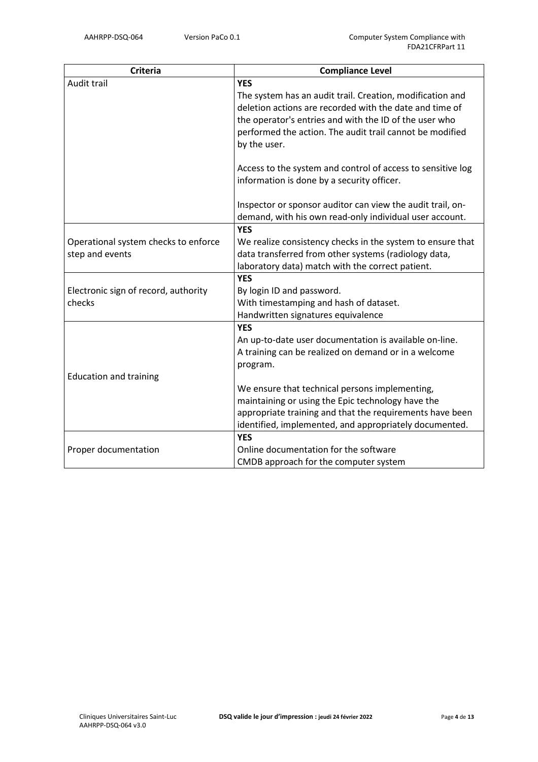| <b>Criteria</b>                      | <b>Compliance Level</b>                                     |
|--------------------------------------|-------------------------------------------------------------|
| Audit trail                          | <b>YES</b>                                                  |
|                                      | The system has an audit trail. Creation, modification and   |
|                                      | deletion actions are recorded with the date and time of     |
|                                      | the operator's entries and with the ID of the user who      |
|                                      | performed the action. The audit trail cannot be modified    |
|                                      | by the user.                                                |
|                                      |                                                             |
|                                      | Access to the system and control of access to sensitive log |
|                                      | information is done by a security officer.                  |
|                                      |                                                             |
|                                      | Inspector or sponsor auditor can view the audit trail, on-  |
|                                      | demand, with his own read-only individual user account.     |
|                                      | <b>YES</b>                                                  |
| Operational system checks to enforce | We realize consistency checks in the system to ensure that  |
| step and events                      | data transferred from other systems (radiology data,        |
|                                      | laboratory data) match with the correct patient.            |
|                                      | <b>YES</b>                                                  |
| Electronic sign of record, authority | By login ID and password.                                   |
| checks                               | With timestamping and hash of dataset.                      |
|                                      | Handwritten signatures equivalence                          |
|                                      | <b>YES</b>                                                  |
|                                      | An up-to-date user documentation is available on-line.      |
|                                      | A training can be realized on demand or in a welcome        |
|                                      | program.                                                    |
| <b>Education and training</b>        |                                                             |
|                                      | We ensure that technical persons implementing,              |
|                                      | maintaining or using the Epic technology have the           |
|                                      | appropriate training and that the requirements have been    |
|                                      | identified, implemented, and appropriately documented.      |
|                                      | <b>YES</b>                                                  |
| Proper documentation                 | Online documentation for the software                       |
|                                      | CMDB approach for the computer system                       |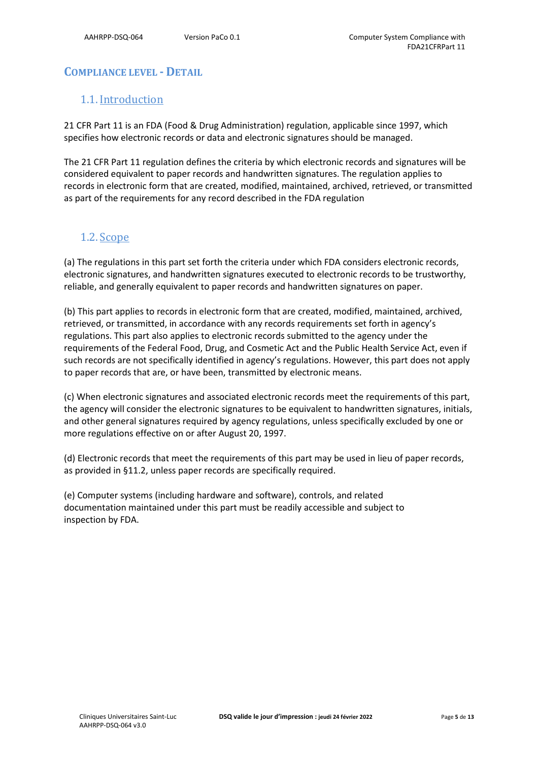# **COMPLIANCE LEVEL - DETAIL**

# 1.1.Introduction

21 CFR Part 11 is an FDA (Food & Drug Administration) regulation, applicable since 1997, which specifies how electronic records or data and electronic signatures should be managed.

The 21 CFR Part 11 regulation defines the criteria by which electronic records and signatures will be considered equivalent to paper records and handwritten signatures. The regulation applies to records in electronic form that are created, modified, maintained, archived, retrieved, or transmitted as part of the requirements for any record described in the FDA regulation

# 1.2. Scope

(a) The regulations in this part set forth the criteria under which FDA considers electronic records, electronic signatures, and handwritten signatures executed to electronic records to be trustworthy, reliable, and generally equivalent to paper records and handwritten signatures on paper.

(b) This part applies to records in electronic form that are created, modified, maintained, archived, retrieved, or transmitted, in accordance with any records requirements set forth in agency's regulations. This part also applies to electronic records submitted to the agency under the requirements of the Federal Food, Drug, and Cosmetic Act and the Public Health Service Act, even if such records are not specifically identified in agency's regulations. However, this part does not apply to paper records that are, or have been, transmitted by electronic means.

(c) When electronic signatures and associated electronic records meet the requirements of this part, the agency will consider the electronic signatures to be equivalent to handwritten signatures, initials, and other general signatures required by agency regulations, unless specifically excluded by one or more regulations effective on or after August 20, 1997.

(d) Electronic records that meet the requirements of this part may be used in lieu of paper records, as provided in §11.2, unless paper records are specifically required.

(e) Computer systems (including hardware and software), controls, and related documentation maintained under this part must be readily accessible and subject to inspection by FDA.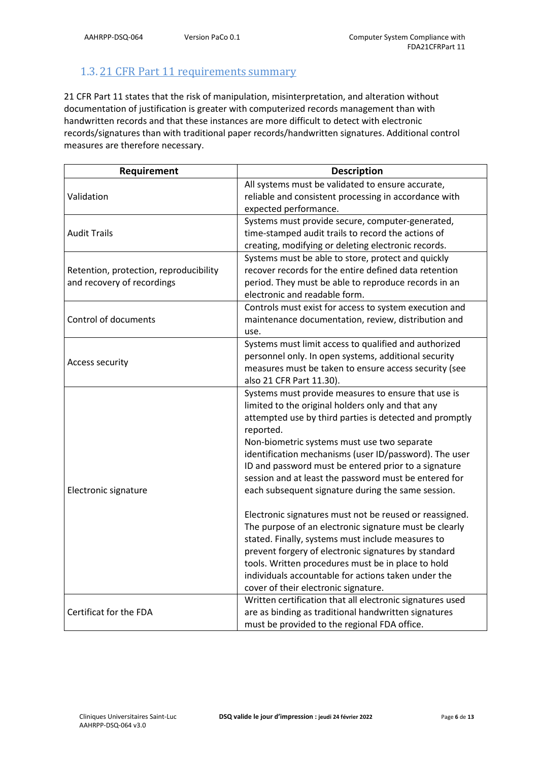# 1.3. 21 CFR Part 11 requirements summary

21 CFR Part 11 states that the risk of manipulation, misinterpretation, and alteration without documentation of justification is greater with computerized records management than with handwritten records and that these instances are more difficult to detect with electronic records/signatures than with traditional paper records/handwritten signatures. Additional control measures are therefore necessary.

| Requirement                                                          | <b>Description</b>                                                                                                                                                                                                                                                                                                                                                                                                                                                                                                                                                                                                                                                                                                                                                                                                                                      |
|----------------------------------------------------------------------|---------------------------------------------------------------------------------------------------------------------------------------------------------------------------------------------------------------------------------------------------------------------------------------------------------------------------------------------------------------------------------------------------------------------------------------------------------------------------------------------------------------------------------------------------------------------------------------------------------------------------------------------------------------------------------------------------------------------------------------------------------------------------------------------------------------------------------------------------------|
| Validation                                                           | All systems must be validated to ensure accurate,<br>reliable and consistent processing in accordance with<br>expected performance.                                                                                                                                                                                                                                                                                                                                                                                                                                                                                                                                                                                                                                                                                                                     |
| <b>Audit Trails</b>                                                  | Systems must provide secure, computer-generated,<br>time-stamped audit trails to record the actions of<br>creating, modifying or deleting electronic records.                                                                                                                                                                                                                                                                                                                                                                                                                                                                                                                                                                                                                                                                                           |
| Retention, protection, reproducibility<br>and recovery of recordings | Systems must be able to store, protect and quickly<br>recover records for the entire defined data retention<br>period. They must be able to reproduce records in an<br>electronic and readable form.                                                                                                                                                                                                                                                                                                                                                                                                                                                                                                                                                                                                                                                    |
| Control of documents                                                 | Controls must exist for access to system execution and<br>maintenance documentation, review, distribution and<br>use.                                                                                                                                                                                                                                                                                                                                                                                                                                                                                                                                                                                                                                                                                                                                   |
| <b>Access security</b>                                               | Systems must limit access to qualified and authorized<br>personnel only. In open systems, additional security<br>measures must be taken to ensure access security (see<br>also 21 CFR Part 11.30).                                                                                                                                                                                                                                                                                                                                                                                                                                                                                                                                                                                                                                                      |
| Electronic signature                                                 | Systems must provide measures to ensure that use is<br>limited to the original holders only and that any<br>attempted use by third parties is detected and promptly<br>reported.<br>Non-biometric systems must use two separate<br>identification mechanisms (user ID/password). The user<br>ID and password must be entered prior to a signature<br>session and at least the password must be entered for<br>each subsequent signature during the same session.<br>Electronic signatures must not be reused or reassigned.<br>The purpose of an electronic signature must be clearly<br>stated. Finally, systems must include measures to<br>prevent forgery of electronic signatures by standard<br>tools. Written procedures must be in place to hold<br>individuals accountable for actions taken under the<br>cover of their electronic signature. |
| Certificat for the FDA                                               | Written certification that all electronic signatures used<br>are as binding as traditional handwritten signatures<br>must be provided to the regional FDA office.                                                                                                                                                                                                                                                                                                                                                                                                                                                                                                                                                                                                                                                                                       |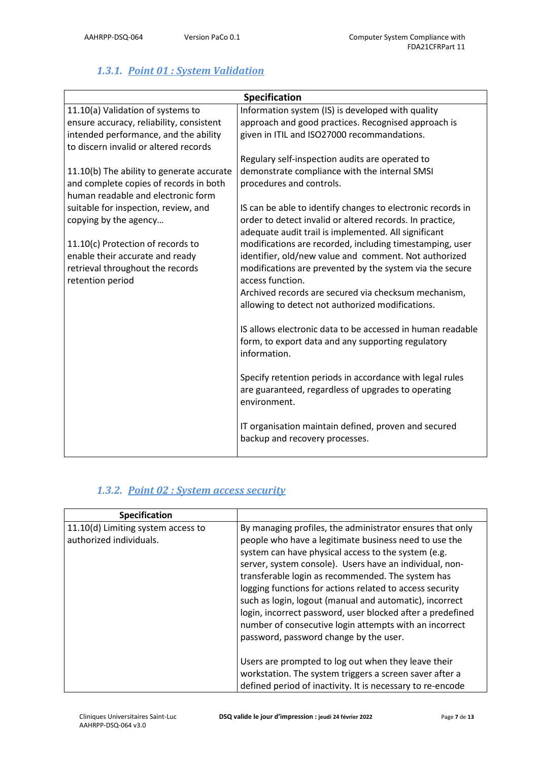# *1.3.1. Point 01 : System Validation*

| <b>Specification</b>                                                         |                                                                                                                  |  |
|------------------------------------------------------------------------------|------------------------------------------------------------------------------------------------------------------|--|
| 11.10(a) Validation of systems to                                            | Information system (IS) is developed with quality                                                                |  |
| ensure accuracy, reliability, consistent                                     | approach and good practices. Recognised approach is                                                              |  |
| intended performance, and the ability                                        | given in ITIL and ISO27000 recommandations.                                                                      |  |
| to discern invalid or altered records                                        |                                                                                                                  |  |
|                                                                              | Regulary self-inspection audits are operated to                                                                  |  |
| 11.10(b) The ability to generate accurate                                    | demonstrate compliance with the internal SMSI                                                                    |  |
| and complete copies of records in both<br>human readable and electronic form | procedures and controls.                                                                                         |  |
| suitable for inspection, review, and                                         | IS can be able to identify changes to electronic records in                                                      |  |
| copying by the agency                                                        | order to detect invalid or altered records. In practice,<br>adequate audit trail is implemented. All significant |  |
| 11.10(c) Protection of records to                                            | modifications are recorded, including timestamping, user                                                         |  |
| enable their accurate and ready                                              | identifier, old/new value and comment. Not authorized                                                            |  |
| retrieval throughout the records                                             | modifications are prevented by the system via the secure                                                         |  |
| retention period                                                             | access function.                                                                                                 |  |
|                                                                              | Archived records are secured via checksum mechanism,                                                             |  |
|                                                                              | allowing to detect not authorized modifications.                                                                 |  |
|                                                                              | IS allows electronic data to be accessed in human readable                                                       |  |
|                                                                              | form, to export data and any supporting regulatory<br>information.                                               |  |
|                                                                              | Specify retention periods in accordance with legal rules                                                         |  |
|                                                                              | are guaranteed, regardless of upgrades to operating<br>environment.                                              |  |
|                                                                              | IT organisation maintain defined, proven and secured<br>backup and recovery processes.                           |  |

### *1.3.2. Point 02 : System access security*

| <b>Specification</b>                                          |                                                                                                                                                                                                                                                                                                                                                                                                                                                                                                                                                                                    |
|---------------------------------------------------------------|------------------------------------------------------------------------------------------------------------------------------------------------------------------------------------------------------------------------------------------------------------------------------------------------------------------------------------------------------------------------------------------------------------------------------------------------------------------------------------------------------------------------------------------------------------------------------------|
| 11.10(d) Limiting system access to<br>authorized individuals. | By managing profiles, the administrator ensures that only<br>people who have a legitimate business need to use the<br>system can have physical access to the system (e.g.<br>server, system console). Users have an individual, non-<br>transferable login as recommended. The system has<br>logging functions for actions related to access security<br>such as login, logout (manual and automatic), incorrect<br>login, incorrect password, user blocked after a predefined<br>number of consecutive login attempts with an incorrect<br>password, password change by the user. |
|                                                               | Users are prompted to log out when they leave their<br>workstation. The system triggers a screen saver after a<br>defined period of inactivity. It is necessary to re-encode                                                                                                                                                                                                                                                                                                                                                                                                       |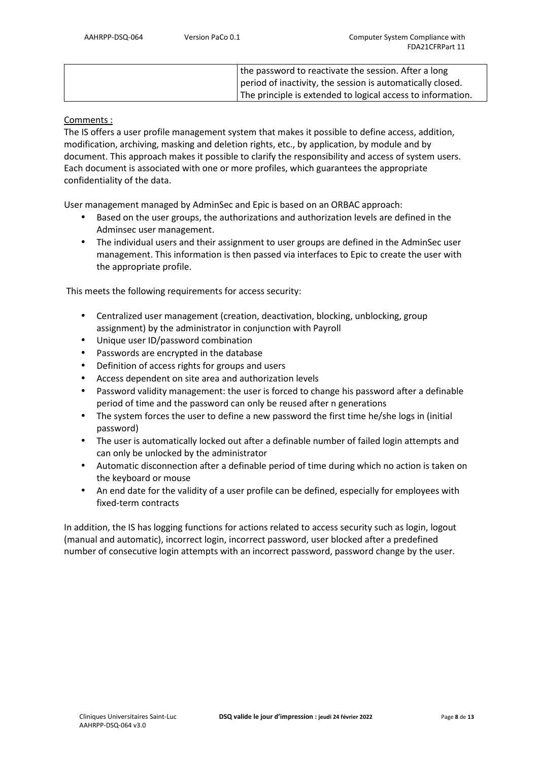| the password to reactivate the session. After a long        |
|-------------------------------------------------------------|
| period of inactivity, the session is automatically closed.  |
| The principle is extended to logical access to information. |

### Comments :

The IS offers a user profile management system that makes it possible to define access, addition, modification, archiving, masking and deletion rights, etc., by application, by module and by document. This approach makes it possible to clarify the responsibility and access of system users. Each document is associated with one or more profiles, which guarantees the appropriate confidentiality of the data.

User management managed by AdminSec and Epic is based on an ORBAC approach:

- Based on the user groups, the authorizations and authorization levels are defined in the Adminsec user management.
- The individual users and their assignment to user groups are defined in the AdminSec user management. This information is then passed via interfaces to Epic to create the user with the appropriate profile.

This meets the following requirements for access security:

- Centralized user management (creation, deactivation, blocking, unblocking, group assignment) by the administrator in conjunction with Payroll
- Unique user ID/password combination
- Passwords are encrypted in the database
- Definition of access rights for groups and users
- Access dependent on site area and authorization levels
- Password validity management: the user is forced to change his password after a definable period of time and the password can only be reused after n generations
- The system forces the user to define a new password the first time he/she logs in (initial password)
- The user is automatically locked out after a definable number of failed login attempts and can only be unlocked by the administrator
- Automatic disconnection after a definable period of time during which no action is taken on the keyboard or mouse
- An end date for the validity of a user profile can be defined, especially for employees with fixed-term contracts

In addition, the IS has logging functions for actions related to access security such as login, logout (manual and automatic), incorrect login, incorrect password, user blocked after a predefined number of consecutive login attempts with an incorrect password, password change by the user.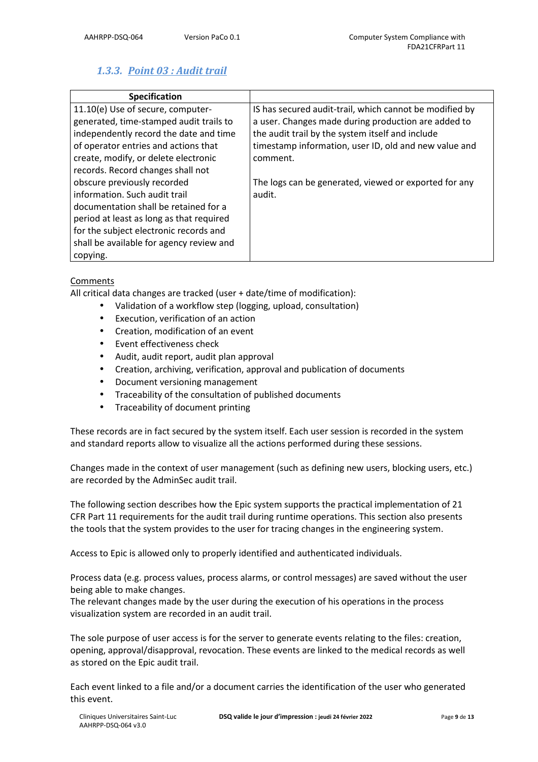# *1.3.3. Point 03 : Audit trail*

| <b>Specification</b>                                                         |                                                                                                                |
|------------------------------------------------------------------------------|----------------------------------------------------------------------------------------------------------------|
| 11.10(e) Use of secure, computer-<br>generated, time-stamped audit trails to | IS has secured audit-trail, which cannot be modified by<br>a user. Changes made during production are added to |
| independently record the date and time                                       | the audit trail by the system itself and include                                                               |
| of operator entries and actions that                                         | timestamp information, user ID, old and new value and                                                          |
| create, modify, or delete electronic                                         | comment.                                                                                                       |
| records. Record changes shall not                                            |                                                                                                                |
| obscure previously recorded                                                  | The logs can be generated, viewed or exported for any                                                          |
| information. Such audit trail                                                | audit.                                                                                                         |
| documentation shall be retained for a                                        |                                                                                                                |
| period at least as long as that required                                     |                                                                                                                |
| for the subject electronic records and                                       |                                                                                                                |
| shall be available for agency review and                                     |                                                                                                                |
| copying.                                                                     |                                                                                                                |

### **Comments**

All critical data changes are tracked (user + date/time of modification):

- Validation of a workflow step (logging, upload, consultation)
- Execution, verification of an action
- Creation, modification of an event
- Event effectiveness check
- Audit, audit report, audit plan approval
- Creation, archiving, verification, approval and publication of documents
- Document versioning management
- Traceability of the consultation of published documents
- Traceability of document printing

These records are in fact secured by the system itself. Each user session is recorded in the system and standard reports allow to visualize all the actions performed during these sessions.

Changes made in the context of user management (such as defining new users, blocking users, etc.) are recorded by the AdminSec audit trail.

The following section describes how the Epic system supports the practical implementation of 21 CFR Part 11 requirements for the audit trail during runtime operations. This section also presents the tools that the system provides to the user for tracing changes in the engineering system.

Access to Epic is allowed only to properly identified and authenticated individuals.

Process data (e.g. process values, process alarms, or control messages) are saved without the user being able to make changes.

The relevant changes made by the user during the execution of his operations in the process visualization system are recorded in an audit trail.

The sole purpose of user access is for the server to generate events relating to the files: creation, opening, approval/disapproval, revocation. These events are linked to the medical records as well as stored on the Epic audit trail.

Each event linked to a file and/or a document carries the identification of the user who generated this event.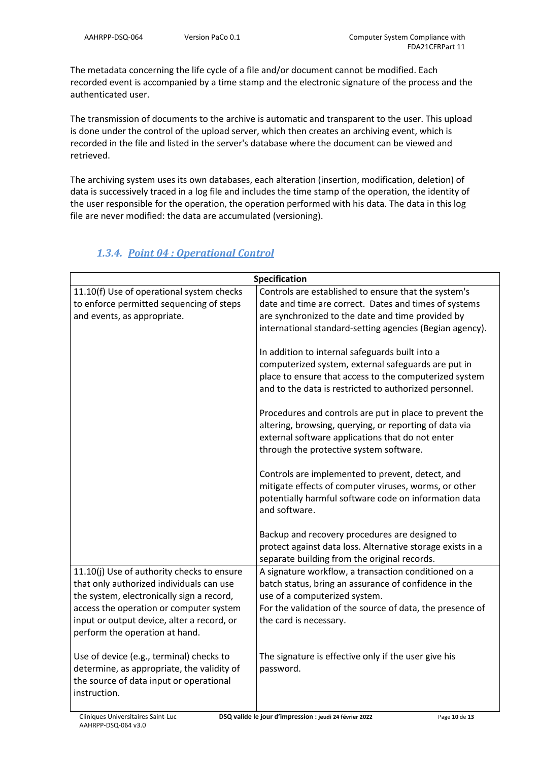The metadata concerning the life cycle of a file and/or document cannot be modified. Each recorded event is accompanied by a time stamp and the electronic signature of the process and the authenticated user.

The transmission of documents to the archive is automatic and transparent to the user. This upload is done under the control of the upload server, which then creates an archiving event, which is recorded in the file and listed in the server's database where the document can be viewed and retrieved.

The archiving system uses its own databases, each alteration (insertion, modification, deletion) of data is successively traced in a log file and includes the time stamp of the operation, the identity of the user responsible for the operation, the operation performed with his data. The data in this log file are never modified: the data are accumulated (versioning).

| <b>Specification</b>                       |                                                            |  |
|--------------------------------------------|------------------------------------------------------------|--|
| 11.10(f) Use of operational system checks  | Controls are established to ensure that the system's       |  |
| to enforce permitted sequencing of steps   | date and time are correct. Dates and times of systems      |  |
| and events, as appropriate.                | are synchronized to the date and time provided by          |  |
|                                            | international standard-setting agencies (Begian agency).   |  |
|                                            |                                                            |  |
|                                            | In addition to internal safeguards built into a            |  |
|                                            | computerized system, external safeguards are put in        |  |
|                                            | place to ensure that access to the computerized system     |  |
|                                            | and to the data is restricted to authorized personnel.     |  |
|                                            | Procedures and controls are put in place to prevent the    |  |
|                                            | altering, browsing, querying, or reporting of data via     |  |
|                                            | external software applications that do not enter           |  |
|                                            | through the protective system software.                    |  |
|                                            |                                                            |  |
|                                            | Controls are implemented to prevent, detect, and           |  |
|                                            | mitigate effects of computer viruses, worms, or other      |  |
|                                            | potentially harmful software code on information data      |  |
|                                            | and software.                                              |  |
|                                            |                                                            |  |
|                                            | Backup and recovery procedures are designed to             |  |
|                                            | protect against data loss. Alternative storage exists in a |  |
|                                            | separate building from the original records.               |  |
| 11.10(j) Use of authority checks to ensure | A signature workflow, a transaction conditioned on a       |  |
| that only authorized individuals can use   | batch status, bring an assurance of confidence in the      |  |
| the system, electronically sign a record,  | use of a computerized system.                              |  |
| access the operation or computer system    | For the validation of the source of data, the presence of  |  |
| input or output device, alter a record, or | the card is necessary.                                     |  |
| perform the operation at hand.             |                                                            |  |
|                                            |                                                            |  |
| Use of device (e.g., terminal) checks to   | The signature is effective only if the user give his       |  |
| determine, as appropriate, the validity of | password.                                                  |  |
| the source of data input or operational    |                                                            |  |
| instruction.                               |                                                            |  |
|                                            |                                                            |  |

### *1.3.4. Point 04 : Operational Control*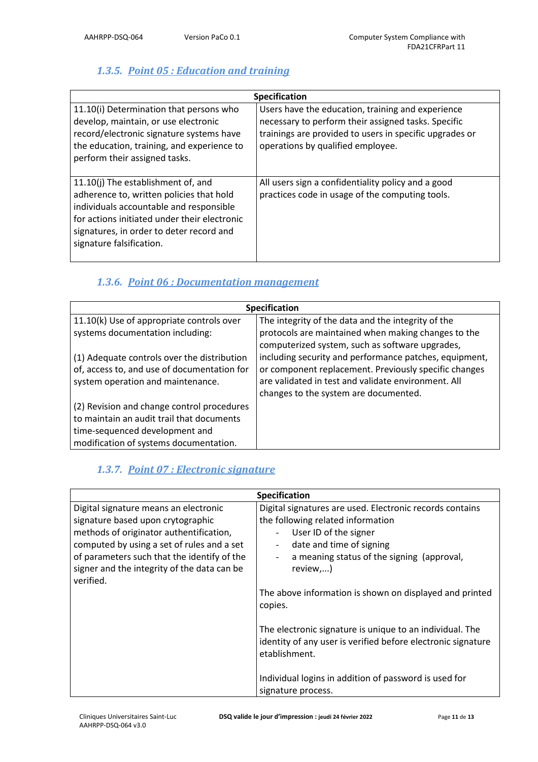# *1.3.5. Point 05 : Education and training*

| <b>Specification</b>                                                                                                                                                                                                                              |                                                                                                                                                                                                          |  |
|---------------------------------------------------------------------------------------------------------------------------------------------------------------------------------------------------------------------------------------------------|----------------------------------------------------------------------------------------------------------------------------------------------------------------------------------------------------------|--|
| 11.10(i) Determination that persons who<br>develop, maintain, or use electronic<br>record/electronic signature systems have<br>the education, training, and experience to<br>perform their assigned tasks.                                        | Users have the education, training and experience<br>necessary to perform their assigned tasks. Specific<br>trainings are provided to users in specific upgrades or<br>operations by qualified employee. |  |
| 11.10(j) The establishment of, and<br>adherence to, written policies that hold<br>individuals accountable and responsible<br>for actions initiated under their electronic<br>signatures, in order to deter record and<br>signature falsification. | All users sign a confidentiality policy and a good<br>practices code in usage of the computing tools.                                                                                                    |  |

# *1.3.6. Point 06 : Documentation management*

| <b>Specification</b>                        |                                                                                                        |  |
|---------------------------------------------|--------------------------------------------------------------------------------------------------------|--|
| 11.10(k) Use of appropriate controls over   | The integrity of the data and the integrity of the                                                     |  |
| systems documentation including:            | protocols are maintained when making changes to the<br>computerized system, such as software upgrades, |  |
| (1) Adequate controls over the distribution | including security and performance patches, equipment,                                                 |  |
| of, access to, and use of documentation for | or component replacement. Previously specific changes                                                  |  |
| system operation and maintenance.           | are validated in test and validate environment. All<br>changes to the system are documented.           |  |
| (2) Revision and change control procedures  |                                                                                                        |  |
| to maintain an audit trail that documents   |                                                                                                        |  |
| time-sequenced development and              |                                                                                                        |  |
| modification of systems documentation.      |                                                                                                        |  |

# *1.3.7. Point 07 : Electronic signature*

| <b>Specification</b>                                                                                                                                                                                                                                                           |                                                                                                                                                                                                              |  |
|--------------------------------------------------------------------------------------------------------------------------------------------------------------------------------------------------------------------------------------------------------------------------------|--------------------------------------------------------------------------------------------------------------------------------------------------------------------------------------------------------------|--|
| Digital signature means an electronic<br>signature based upon crytographic<br>methods of originator authentification,<br>computed by using a set of rules and a set<br>of parameters such that the identify of the<br>signer and the integrity of the data can be<br>verified. | Digital signatures are used. Electronic records contains<br>the following related information<br>User ID of the signer<br>date and time of signing<br>a meaning status of the signing (approval,<br>review,) |  |
|                                                                                                                                                                                                                                                                                | The above information is shown on displayed and printed<br>copies.                                                                                                                                           |  |
|                                                                                                                                                                                                                                                                                | The electronic signature is unique to an individual. The<br>identity of any user is verified before electronic signature<br>etablishment.                                                                    |  |
|                                                                                                                                                                                                                                                                                | Individual logins in addition of password is used for<br>signature process.                                                                                                                                  |  |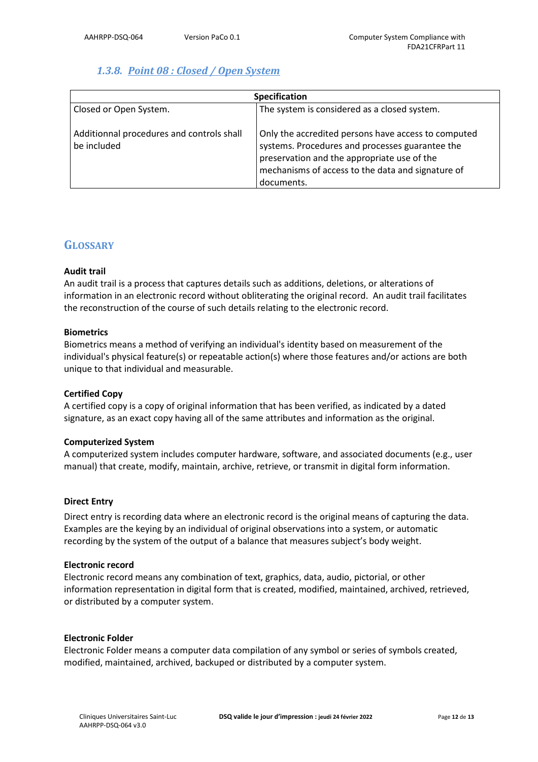### *1.3.8. Point 08 : Closed / Open System*

| <b>Specification</b>                                     |                                                                                                                                                                                                                          |
|----------------------------------------------------------|--------------------------------------------------------------------------------------------------------------------------------------------------------------------------------------------------------------------------|
| Closed or Open System.                                   | The system is considered as a closed system.                                                                                                                                                                             |
| Additionnal procedures and controls shall<br>be included | Only the accredited persons have access to computed<br>systems. Procedures and processes guarantee the<br>preservation and the appropriate use of the<br>mechanisms of access to the data and signature of<br>documents. |

### **GLOSSARY**

### **Audit trail**

An audit trail is a process that captures details such as additions, deletions, or alterations of information in an electronic record without obliterating the original record. An audit trail facilitates the reconstruction of the course of such details relating to the electronic record.

### **Biometrics**

Biometrics means a method of verifying an individual's identity based on measurement of the individual's physical feature(s) or repeatable action(s) where those features and/or actions are both unique to that individual and measurable.

### **Certified Copy**

A certified copy is a copy of original information that has been verified, as indicated by a dated signature, as an exact copy having all of the same attributes and information as the original.

### **Computerized System**

A computerized system includes computer hardware, software, and associated documents (e.g., user manual) that create, modify, maintain, archive, retrieve, or transmit in digital form information.

### **Direct Entry**

Direct entry is recording data where an electronic record is the original means of capturing the data. Examples are the keying by an individual of original observations into a system, or automatic recording by the system of the output of a balance that measures subject's body weight.

### **Electronic record**

Electronic record means any combination of text, graphics, data, audio, pictorial, or other information representation in digital form that is created, modified, maintained, archived, retrieved, or distributed by a computer system.

### **Electronic Folder**

Electronic Folder means a computer data compilation of any symbol or series of symbols created, modified, maintained, archived, backuped or distributed by a computer system.